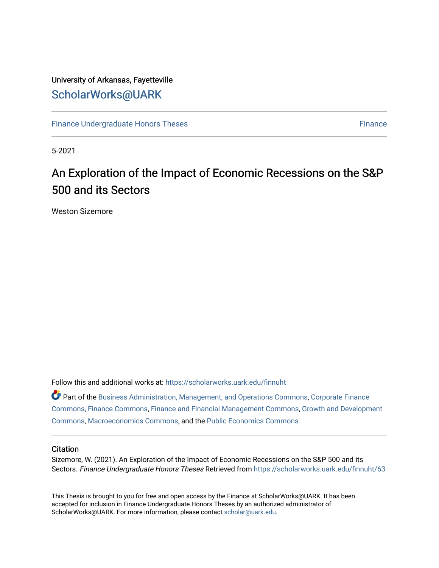# University of Arkansas, Fayetteville [ScholarWorks@UARK](https://scholarworks.uark.edu/)

[Finance Undergraduate Honors Theses](https://scholarworks.uark.edu/finnuht) [Finance](https://scholarworks.uark.edu/finn) **Finance Finance** 

5-2021

# An Exploration of the Impact of Economic Recessions on the S&P 500 and its Sectors

Weston Sizemore

Follow this and additional works at: [https://scholarworks.uark.edu/finnuht](https://scholarworks.uark.edu/finnuht?utm_source=scholarworks.uark.edu%2Ffinnuht%2F63&utm_medium=PDF&utm_campaign=PDFCoverPages)

Part of the [Business Administration, Management, and Operations Commons](http://network.bepress.com/hgg/discipline/623?utm_source=scholarworks.uark.edu%2Ffinnuht%2F63&utm_medium=PDF&utm_campaign=PDFCoverPages), [Corporate Finance](http://network.bepress.com/hgg/discipline/629?utm_source=scholarworks.uark.edu%2Ffinnuht%2F63&utm_medium=PDF&utm_campaign=PDFCoverPages) [Commons](http://network.bepress.com/hgg/discipline/629?utm_source=scholarworks.uark.edu%2Ffinnuht%2F63&utm_medium=PDF&utm_campaign=PDFCoverPages), [Finance Commons](http://network.bepress.com/hgg/discipline/345?utm_source=scholarworks.uark.edu%2Ffinnuht%2F63&utm_medium=PDF&utm_campaign=PDFCoverPages), [Finance and Financial Management Commons,](http://network.bepress.com/hgg/discipline/631?utm_source=scholarworks.uark.edu%2Ffinnuht%2F63&utm_medium=PDF&utm_campaign=PDFCoverPages) [Growth and Development](http://network.bepress.com/hgg/discipline/346?utm_source=scholarworks.uark.edu%2Ffinnuht%2F63&utm_medium=PDF&utm_campaign=PDFCoverPages) [Commons](http://network.bepress.com/hgg/discipline/346?utm_source=scholarworks.uark.edu%2Ffinnuht%2F63&utm_medium=PDF&utm_campaign=PDFCoverPages), [Macroeconomics Commons,](http://network.bepress.com/hgg/discipline/350?utm_source=scholarworks.uark.edu%2Ffinnuht%2F63&utm_medium=PDF&utm_campaign=PDFCoverPages) and the [Public Economics Commons](http://network.bepress.com/hgg/discipline/351?utm_source=scholarworks.uark.edu%2Ffinnuht%2F63&utm_medium=PDF&utm_campaign=PDFCoverPages) 

# **Citation**

Sizemore, W. (2021). An Exploration of the Impact of Economic Recessions on the S&P 500 and its Sectors. Finance Undergraduate Honors Theses Retrieved from [https://scholarworks.uark.edu/finnuht/63](https://scholarworks.uark.edu/finnuht/63?utm_source=scholarworks.uark.edu%2Ffinnuht%2F63&utm_medium=PDF&utm_campaign=PDFCoverPages) 

This Thesis is brought to you for free and open access by the Finance at ScholarWorks@UARK. It has been accepted for inclusion in Finance Undergraduate Honors Theses by an authorized administrator of ScholarWorks@UARK. For more information, please contact [scholar@uark.edu](mailto:scholar@uark.edu).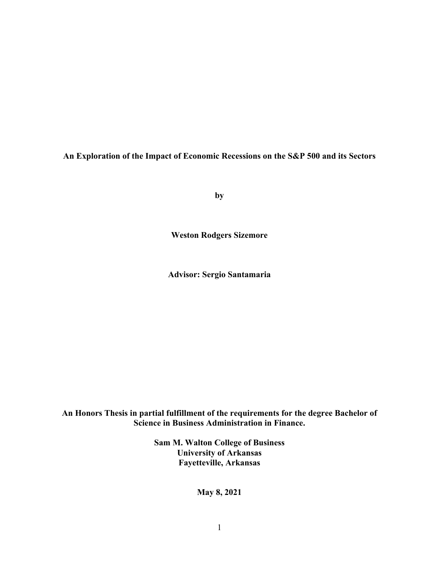**An Exploration of the Impact of Economic Recessions on the S&P 500 and its Sectors** 

**by**

**Weston Rodgers Sizemore**

**Advisor: Sergio Santamaria** 

**An Honors Thesis in partial fulfillment of the requirements for the degree Bachelor of Science in Business Administration in Finance.**

> **Sam M. Walton College of Business University of Arkansas Fayetteville, Arkansas**

> > **May 8, 2021**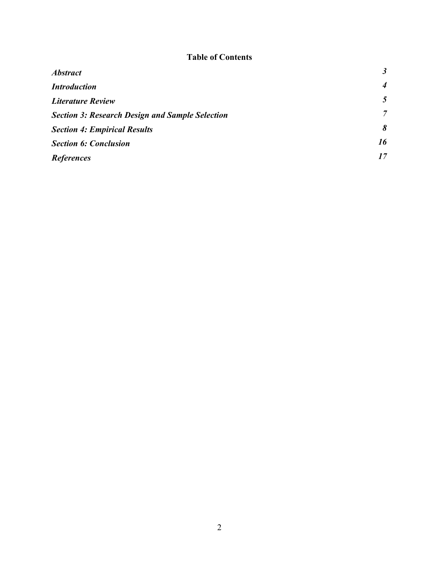# **Table of Contents**

| <b>Abstract</b>                                        | $\boldsymbol{\beta}$ |
|--------------------------------------------------------|----------------------|
| <b>Introduction</b>                                    | $\boldsymbol{4}$     |
| <b>Literature Review</b>                               | 5                    |
| <b>Section 3: Research Design and Sample Selection</b> | $\overline{7}$       |
| <b>Section 4: Empirical Results</b>                    | 8                    |
| <b>Section 6: Conclusion</b>                           | 16                   |
| <b>References</b>                                      | 17                   |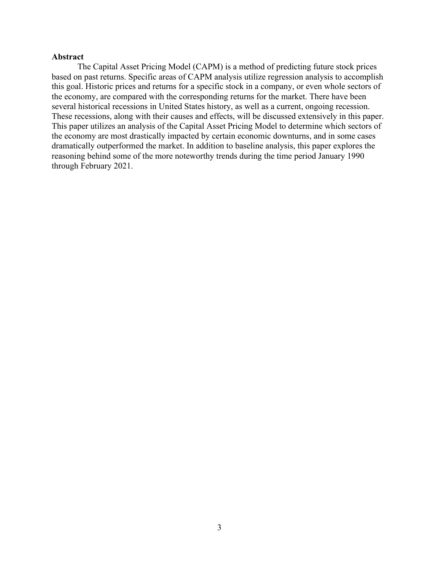## **Abstract**

The Capital Asset Pricing Model (CAPM) is a method of predicting future stock prices based on past returns. Specific areas of CAPM analysis utilize regression analysis to accomplish this goal. Historic prices and returns for a specific stock in a company, or even whole sectors of the economy, are compared with the corresponding returns for the market. There have been several historical recessions in United States history, as well as a current, ongoing recession. These recessions, along with their causes and effects, will be discussed extensively in this paper. This paper utilizes an analysis of the Capital Asset Pricing Model to determine which sectors of the economy are most drastically impacted by certain economic downturns, and in some cases dramatically outperformed the market. In addition to baseline analysis, this paper explores the reasoning behind some of the more noteworthy trends during the time period January 1990 through February 2021.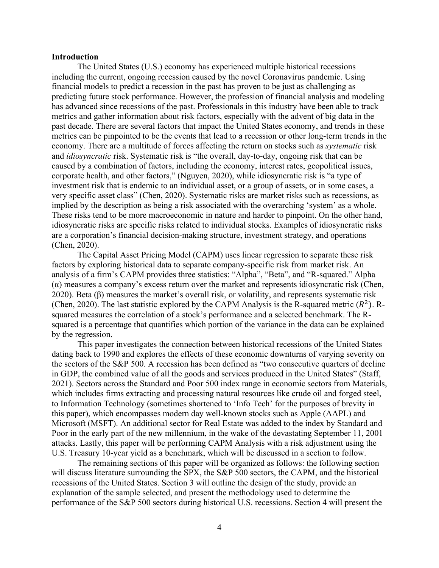## **Introduction**

The United States (U.S.) economy has experienced multiple historical recessions including the current, ongoing recession caused by the novel Coronavirus pandemic. Using financial models to predict a recession in the past has proven to be just as challenging as predicting future stock performance. However, the profession of financial analysis and modeling has advanced since recessions of the past. Professionals in this industry have been able to track metrics and gather information about risk factors, especially with the advent of big data in the past decade. There are several factors that impact the United States economy, and trends in these metrics can be pinpointed to be the events that lead to a recession or other long-term trends in the economy. There are a multitude of forces affecting the return on stocks such as *systematic* risk and *idiosyncratic* risk. Systematic risk is "the overall, day-to-day, ongoing risk that can be caused by a combination of factors, including the economy, interest rates, geopolitical issues, corporate health, and other factors," (Nguyen, 2020), while idiosyncratic risk is "a type of investment risk that is endemic to an individual asset, or a group of assets, or in some cases, a very specific asset class" (Chen, 2020). Systematic risks are market risks such as recessions, as implied by the description as being a risk associated with the overarching 'system' as a whole. These risks tend to be more macroeconomic in nature and harder to pinpoint. On the other hand, idiosyncratic risks are specific risks related to individual stocks. Examples of idiosyncratic risks are a corporation's financial decision-making structure, investment strategy, and operations (Chen, 2020).

The Capital Asset Pricing Model (CAPM) uses linear regression to separate these risk factors by exploring historical data to separate company-specific risk from market risk. An analysis of a firm's CAPM provides three statistics: "Alpha", "Beta", and "R-squared." Alpha  $\alpha$ ) measures a company's excess return over the market and represents idiosyncratic risk (Chen, 2020). Beta  $(\beta)$  measures the market's overall risk, or volatility, and represents systematic risk (Chen, 2020). The last statistic explored by the CAPM Analysis is the R-squared metric  $(R^2)$ . Rsquared measures the correlation of a stock's performance and a selected benchmark. The Rsquared is a percentage that quantifies which portion of the variance in the data can be explained by the regression.

This paper investigates the connection between historical recessions of the United States dating back to 1990 and explores the effects of these economic downturns of varying severity on the sectors of the S&P 500. A recession has been defined as "two consecutive quarters of decline in GDP, the combined value of all the goods and services produced in the United States" (Staff, 2021). Sectors across the Standard and Poor 500 index range in economic sectors from Materials, which includes firms extracting and processing natural resources like crude oil and forged steel, to Information Technology (sometimes shortened to 'Info Tech' for the purposes of brevity in this paper), which encompasses modern day well-known stocks such as Apple (AAPL) and Microsoft (MSFT). An additional sector for Real Estate was added to the index by Standard and Poor in the early part of the new millennium, in the wake of the devastating September 11, 2001 attacks. Lastly, this paper will be performing CAPM Analysis with a risk adjustment using the U.S. Treasury 10-year yield as a benchmark, which will be discussed in a section to follow.

The remaining sections of this paper will be organized as follows: the following section will discuss literature surrounding the SPX, the S&P 500 sectors, the CAPM, and the historical recessions of the United States. Section 3 will outline the design of the study, provide an explanation of the sample selected, and present the methodology used to determine the performance of the S&P 500 sectors during historical U.S. recessions. Section 4 will present the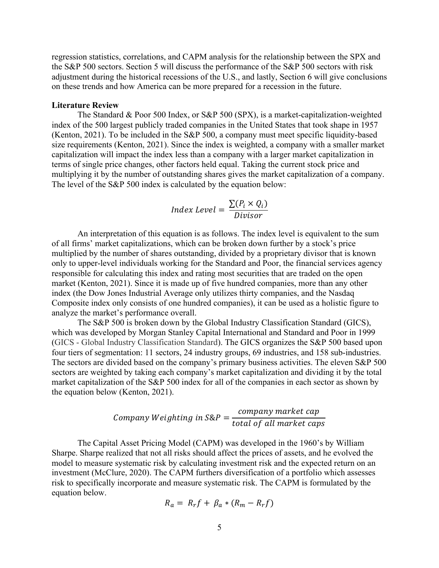regression statistics, correlations, and CAPM analysis for the relationship between the SPX and the S&P 500 sectors. Section 5 will discuss the performance of the S&P 500 sectors with risk adjustment during the historical recessions of the U.S., and lastly, Section 6 will give conclusions on these trends and how America can be more prepared for a recession in the future.

#### **Literature Review**

The Standard & Poor 500 Index, or S&P 500 (SPX), is a market-capitalization-weighted index of the 500 largest publicly traded companies in the United States that took shape in 1957 (Kenton, 2021). To be included in the S&P 500, a company must meet specific liquidity-based size requirements (Kenton, 2021). Since the index is weighted, a company with a smaller market capitalization will impact the index less than a company with a larger market capitalization in terms of single price changes, other factors held equal. Taking the current stock price and multiplying it by the number of outstanding shares gives the market capitalization of a company. The level of the S&P 500 index is calculated by the equation below:

$$
Index Level = \frac{\sum (P_i \times Q_i)}{Divisor}
$$

An interpretation of this equation is as follows. The index level is equivalent to the sum of all firms' market capitalizations, which can be broken down further by a stock's price multiplied by the number of shares outstanding, divided by a proprietary divisor that is known only to upper-level individuals working for the Standard and Poor, the financial services agency responsible for calculating this index and rating most securities that are traded on the open market (Kenton, 2021). Since it is made up of five hundred companies, more than any other index (the Dow Jones Industrial Average only utilizes thirty companies, and the Nasdaq Composite index only consists of one hundred companies), it can be used as a holistic figure to analyze the market's performance overall.

The S&P 500 is broken down by the Global Industry Classification Standard (GICS), which was developed by Morgan Stanley Capital International and Standard and Poor in 1999 (GICS - Global Industry Classification Standard). The GICS organizes the S&P 500 based upon four tiers of segmentation: 11 sectors, 24 industry groups, 69 industries, and 158 sub-industries. The sectors are divided based on the company's primary business activities. The eleven S&P 500 sectors are weighted by taking each company's market capitalization and dividing it by the total market capitalization of the S&P 500 index for all of the companies in each sector as shown by the equation below (Kenton, 2021).

$$
Company \; Weighting \; in \; S\&P = \frac{company \; market \; cap}{total \; of \; all \; market \; caps}
$$

The Capital Asset Pricing Model (CAPM) was developed in the 1960's by William Sharpe. Sharpe realized that not all risks should affect the prices of assets, and he evolved the model to measure systematic risk by calculating investment risk and the expected return on an investment (McClure, 2020). The CAPM furthers diversification of a portfolio which assesses risk to specifically incorporate and measure systematic risk. The CAPM is formulated by the equation below.

$$
R_a = R_r f + \beta_a * (R_m - R_r f)
$$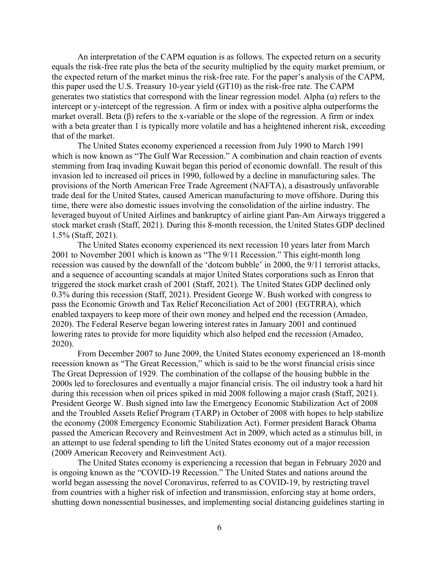An interpretation of the CAPM equation is as follows. The expected return on a security equals the risk-free rate plus the beta of the security multiplied by the equity market premium, or the expected return of the market minus the risk-free rate. For the paper's analysis of the CAPM, this paper used the U.S. Treasury 10-year yield (GT10) as the risk-free rate. The CAPM generates two statistics that correspond with the linear regression model. Alpha  $(\alpha)$  refers to the intercept or y-intercept of the regression. A firm or index with a positive alpha outperforms the market overall. Beta (β) refers to the x-variable or the slope of the regression. A firm or index with a beta greater than 1 is typically more volatile and has a heightened inherent risk, exceeding that of the market.

The United States economy experienced a recession from July 1990 to March 1991 which is now known as "The Gulf War Recession." A combination and chain reaction of events stemming from Iraq invading Kuwait began this period of economic downfall. The result of this invasion led to increased oil prices in 1990, followed by a decline in manufacturing sales. The provisions of the North American Free Trade Agreement (NAFTA), a disastrously unfavorable trade deal for the United States, caused American manufacturing to move offshore. During this time, there were also domestic issues involving the consolidation of the airline industry. The leveraged buyout of United Airlines and bankruptcy of airline giant Pan-Am Airways triggered a stock market crash (Staff, 2021). During this 8-month recession, the United States GDP declined 1.5% (Staff, 2021).

The United States economy experienced its next recession 10 years later from March 2001 to November 2001 which is known as "The 9/11 Recession." This eight-month long recession was caused by the downfall of the 'dotcom bubble' in 2000, the 9/11 terrorist attacks, and a sequence of accounting scandals at major United States corporations such as Enron that triggered the stock market crash of 2001 (Staff, 2021). The United States GDP declined only 0.3% during this recession (Staff, 2021). President George W. Bush worked with congress to pass the Economic Growth and Tax Relief Reconciliation Act of 2001 (EGTRRA), which enabled taxpayers to keep more of their own money and helped end the recession (Amadeo, 2020). The Federal Reserve began lowering interest rates in January 2001 and continued lowering rates to provide for more liquidity which also helped end the recession (Amadeo, 2020).

From December 2007 to June 2009, the United States economy experienced an 18-month recession known as "The Great Recession," which is said to be the worst financial crisis since The Great Depression of 1929. The combination of the collapse of the housing bubble in the 2000s led to foreclosures and eventually a major financial crisis. The oil industry took a hard hit during this recession when oil prices spiked in mid 2008 following a major crash (Staff, 2021). President George W. Bush signed into law the Emergency Economic Stabilization Act of 2008 and the Troubled Assets Relief Program (TARP) in October of 2008 with hopes to help stabilize the economy (2008 Emergency Economic Stabilization Act). Former president Barack Obama passed the American Recovery and Reinvestment Act in 2009, which acted as a stimulus bill, in an attempt to use federal spending to lift the United States economy out of a major recession (2009 American Recovery and Reinvestment Act).

The United States economy is experiencing a recession that began in February 2020 and is ongoing known as the "COVID-19 Recession." The United States and nations around the world began assessing the novel Coronavirus, referred to as COVID-19, by restricting travel from countries with a higher risk of infection and transmission, enforcing stay at home orders, shutting down nonessential businesses, and implementing social distancing guidelines starting in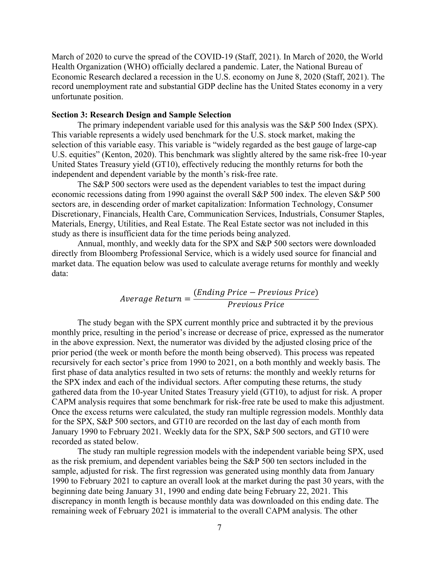March of 2020 to curve the spread of the COVID-19 (Staff, 2021). In March of 2020, the World Health Organization (WHO) officially declared a pandemic. Later, the National Bureau of Economic Research declared a recession in the U.S. economy on June 8, 2020 (Staff, 2021). The record unemployment rate and substantial GDP decline has the United States economy in a very unfortunate position.

# **Section 3: Research Design and Sample Selection**

The primary independent variable used for this analysis was the S&P 500 Index (SPX). This variable represents a widely used benchmark for the U.S. stock market, making the selection of this variable easy. This variable is "widely regarded as the best gauge of large-cap U.S. equities" (Kenton, 2020). This benchmark was slightly altered by the same risk-free 10-year United States Treasury yield (GT10), effectively reducing the monthly returns for both the independent and dependent variable by the month's risk-free rate.

The S&P 500 sectors were used as the dependent variables to test the impact during economic recessions dating from 1990 against the overall S&P 500 index. The eleven S&P 500 sectors are, in descending order of market capitalization: Information Technology, Consumer Discretionary, Financials, Health Care, Communication Services, Industrials, Consumer Staples, Materials, Energy, Utilities, and Real Estate. The Real Estate sector was not included in this study as there is insufficient data for the time periods being analyzed.

Annual, monthly, and weekly data for the SPX and S&P 500 sectors were downloaded directly from Bloomberg Professional Service, which is a widely used source for financial and market data. The equation below was used to calculate average returns for monthly and weekly data:

$$
Average Return = \frac{(Ending Price - Previous Price)}{Previous Price}
$$

The study began with the SPX current monthly price and subtracted it by the previous monthly price, resulting in the period's increase or decrease of price, expressed as the numerator in the above expression. Next, the numerator was divided by the adjusted closing price of the prior period (the week or month before the month being observed). This process was repeated recursively for each sector's price from 1990 to 2021, on a both monthly and weekly basis. The first phase of data analytics resulted in two sets of returns: the monthly and weekly returns for the SPX index and each of the individual sectors. After computing these returns, the study gathered data from the 10-year United States Treasury yield (GT10), to adjust for risk. A proper CAPM analysis requires that some benchmark for risk-free rate be used to make this adjustment. Once the excess returns were calculated, the study ran multiple regression models. Monthly data for the SPX, S&P 500 sectors, and GT10 are recorded on the last day of each month from January 1990 to February 2021. Weekly data for the SPX, S&P 500 sectors, and GT10 were recorded as stated below.

The study ran multiple regression models with the independent variable being SPX, used as the risk premium, and dependent variables being the S&P 500 ten sectors included in the sample, adjusted for risk. The first regression was generated using monthly data from January 1990 to February 2021 to capture an overall look at the market during the past 30 years, with the beginning date being January 31, 1990 and ending date being February 22, 2021. This discrepancy in month length is because monthly data was downloaded on this ending date. The remaining week of February 2021 is immaterial to the overall CAPM analysis. The other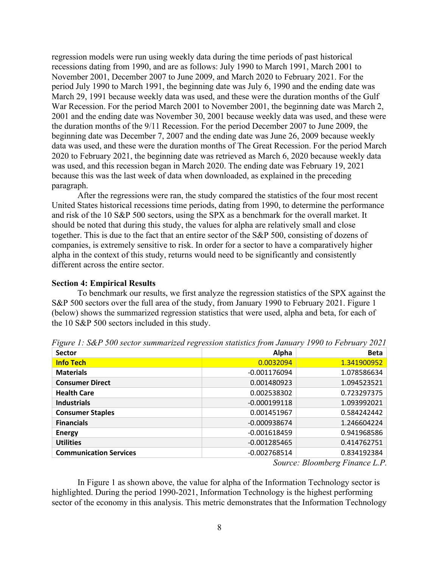regression models were run using weekly data during the time periods of past historical recessions dating from 1990, and are as follows: July 1990 to March 1991, March 2001 to November 2001, December 2007 to June 2009, and March 2020 to February 2021. For the period July 1990 to March 1991, the beginning date was July 6, 1990 and the ending date was March 29, 1991 because weekly data was used, and these were the duration months of the Gulf War Recession. For the period March 2001 to November 2001, the beginning date was March 2, 2001 and the ending date was November 30, 2001 because weekly data was used, and these were the duration months of the 9/11 Recession. For the period December 2007 to June 2009, the beginning date was December 7, 2007 and the ending date was June 26, 2009 because weekly data was used, and these were the duration months of The Great Recession. For the period March 2020 to February 2021, the beginning date was retrieved as March 6, 2020 because weekly data was used, and this recession began in March 2020. The ending date was February 19, 2021 because this was the last week of data when downloaded, as explained in the preceding paragraph.

After the regressions were ran, the study compared the statistics of the four most recent United States historical recessions time periods, dating from 1990, to determine the performance and risk of the 10 S&P 500 sectors, using the SPX as a benchmark for the overall market. It should be noted that during this study, the values for alpha are relatively small and close together. This is due to the fact that an entire sector of the S&P 500, consisting of dozens of companies, is extremely sensitive to risk. In order for a sector to have a comparatively higher alpha in the context of this study, returns would need to be significantly and consistently different across the entire sector.

## **Section 4: Empirical Results**

To benchmark our results, we first analyze the regression statistics of the SPX against the S&P 500 sectors over the full area of the study, from January 1990 to February 2021. Figure 1 (below) shows the summarized regression statistics that were used, alpha and beta, for each of the 10 S&P 500 sectors included in this study.

| <b>Sector</b>                 | Alpha          | <b>Beta</b> |
|-------------------------------|----------------|-------------|
| <b>Info Tech</b>              | 0.0032094      | 1.341900952 |
| <b>Materials</b>              | $-0.001176094$ | 1.078586634 |
| <b>Consumer Direct</b>        | 0.001480923    | 1.094523521 |
| <b>Health Care</b>            | 0.002538302    | 0.723297375 |
| <b>Industrials</b>            | $-0.000199118$ | 1.093992021 |
| <b>Consumer Staples</b>       | 0.001451967    | 0.584242442 |
| <b>Financials</b>             | $-0.000938674$ | 1.246604224 |
| <b>Energy</b>                 | $-0.001618459$ | 0.941968586 |
| <b>Utilities</b>              | $-0.001285465$ | 0.414762751 |
| <b>Communication Services</b> | $-0.002768514$ | 0.834192384 |

*Figure 1: S&P 500 sector summarized regression statistics from January 1990 to February 2021*

*Source: Bloomberg Finance L.P.*

In Figure 1 as shown above, the value for alpha of the Information Technology sector is highlighted. During the period 1990-2021, Information Technology is the highest performing sector of the economy in this analysis. This metric demonstrates that the Information Technology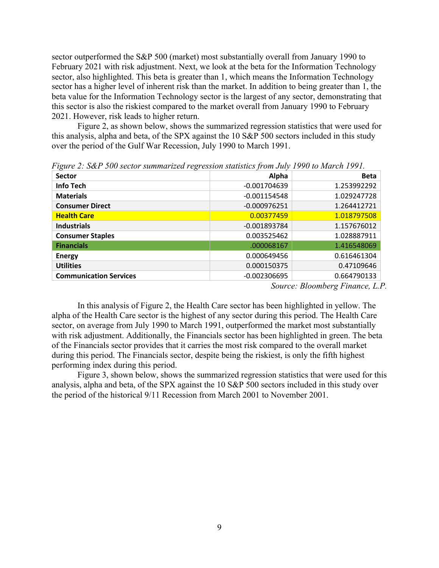sector outperformed the S&P 500 (market) most substantially overall from January 1990 to February 2021 with risk adjustment. Next, we look at the beta for the Information Technology sector, also highlighted. This beta is greater than 1, which means the Information Technology sector has a higher level of inherent risk than the market. In addition to being greater than 1, the beta value for the Information Technology sector is the largest of any sector, demonstrating that this sector is also the riskiest compared to the market overall from January 1990 to February 2021. However, risk leads to higher return.

Figure 2, as shown below, shows the summarized regression statistics that were used for this analysis, alpha and beta, of the SPX against the 10 S&P 500 sectors included in this study over the period of the Gulf War Recession, July 1990 to March 1991.

| ပ<br>$\epsilon$<br><b>Sector</b> | Alpha          | <b>Beta</b> |
|----------------------------------|----------------|-------------|
| <b>Info Tech</b>                 | $-0.001704639$ | 1.253992292 |
| <b>Materials</b>                 | $-0.001154548$ | 1.029247728 |
| <b>Consumer Direct</b>           | $-0.000976251$ | 1.264412721 |
| <b>Health Care</b>               | 0.00377459     | 1.018797508 |
| <b>Industrials</b>               | $-0.001893784$ | 1.157676012 |
| <b>Consumer Staples</b>          | 0.003525462    | 1.028887911 |
| <b>Financials</b>                | .000068167     | 1.416548069 |
| <b>Energy</b>                    | 0.000649456    | 0.616461304 |
| <b>Utilities</b>                 | 0.000150375    | 0.47109646  |
| <b>Communication Services</b>    | $-0.002306695$ | 0.664790133 |

*Figure 2: S&P 500 sector summarized regression statistics from July 1990 to March 1991.* 

*Source: Bloomberg Finance, L.P.*

In this analysis of Figure 2, the Health Care sector has been highlighted in yellow. The alpha of the Health Care sector is the highest of any sector during this period. The Health Care sector, on average from July 1990 to March 1991, outperformed the market most substantially with risk adjustment. Additionally, the Financials sector has been highlighted in green. The beta of the Financials sector provides that it carries the most risk compared to the overall market during this period. The Financials sector, despite being the riskiest, is only the fifth highest performing index during this period.

Figure 3, shown below, shows the summarized regression statistics that were used for this analysis, alpha and beta, of the SPX against the 10 S&P 500 sectors included in this study over the period of the historical 9/11 Recession from March 2001 to November 2001.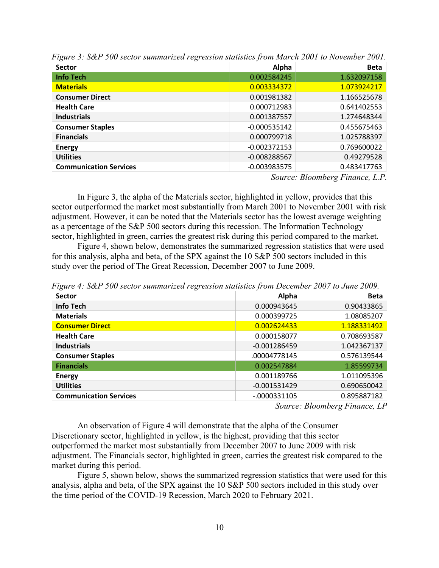| <b>Sector</b>                 | Alpha          | <b>Beta</b>                                                               |
|-------------------------------|----------------|---------------------------------------------------------------------------|
| <b>Info Tech</b>              | 0.002584245    | 1.632097158                                                               |
| <b>Materials</b>              | 0.003334372    | 1.073924217                                                               |
| <b>Consumer Direct</b>        | 0.001981382    | 1.166525678                                                               |
| <b>Health Care</b>            | 0.000712983    | 0.641402553                                                               |
| <b>Industrials</b>            | 0.001387557    | 1.274648344                                                               |
| <b>Consumer Staples</b>       | $-0.000535142$ | 0.455675463                                                               |
| <b>Financials</b>             | 0.000799718    | 1.025788397                                                               |
| <b>Energy</b>                 | $-0.002372153$ | 0.769600022                                                               |
| <b>Utilities</b>              | $-0.008288567$ | 0.49279528                                                                |
| <b>Communication Services</b> | $-0.003983575$ | 0.483417763                                                               |
|                               | $\sim$         | $\mathbf{r}$<br>$\mathbf{r}$<br>$\mathbf{r}$<br>$\mathbf{r}$ $\mathbf{n}$ |

*Figure 3: S&P 500 sector summarized regression statistics from March 2001 to November 2001.* 

*Source: Bloomberg Finance, L.P.*

In Figure 3, the alpha of the Materials sector, highlighted in yellow, provides that this sector outperformed the market most substantially from March 2001 to November 2001 with risk adjustment. However, it can be noted that the Materials sector has the lowest average weighting as a percentage of the S&P 500 sectors during this recession. The Information Technology sector, highlighted in green, carries the greatest risk during this period compared to the market.

Figure 4, shown below, demonstrates the summarized regression statistics that were used for this analysis, alpha and beta, of the SPX against the 10 S&P 500 sectors included in this study over the period of The Great Recession, December 2007 to June 2009.

*Figure 4: S&P 500 sector summarized regression statistics from December 2007 to June 2009.* 

| <b>Sector</b>                 | Alpha          | <b>Beta</b> |
|-------------------------------|----------------|-------------|
| <b>Info Tech</b>              | 0.000943645    | 0.90433865  |
| <b>Materials</b>              | 0.000399725    | 1.08085207  |
| <b>Consumer Direct</b>        | 0.002624433    | 1.188331492 |
| <b>Health Care</b>            | 0.000158077    | 0.708693587 |
| <b>Industrials</b>            | $-0.001286459$ | 1.042367137 |
| <b>Consumer Staples</b>       | .00004778145   | 0.576139544 |
| <b>Financials</b>             | 0.002547884    | 1.85599734  |
| <b>Energy</b>                 | 0.001189766    | 1.011095396 |
| <b>Utilities</b>              | $-0.001531429$ | 0.690650042 |
| <b>Communication Services</b> | $-0000331105$  | 0.895887182 |

*Source: Bloomberg Finance, LP*

An observation of Figure 4 will demonstrate that the alpha of the Consumer Discretionary sector, highlighted in yellow, is the highest, providing that this sector outperformed the market most substantially from December 2007 to June 2009 with risk adjustment. The Financials sector, highlighted in green, carries the greatest risk compared to the market during this period.

Figure 5, shown below, shows the summarized regression statistics that were used for this analysis, alpha and beta, of the SPX against the 10 S&P 500 sectors included in this study over the time period of the COVID-19 Recession, March 2020 to February 2021.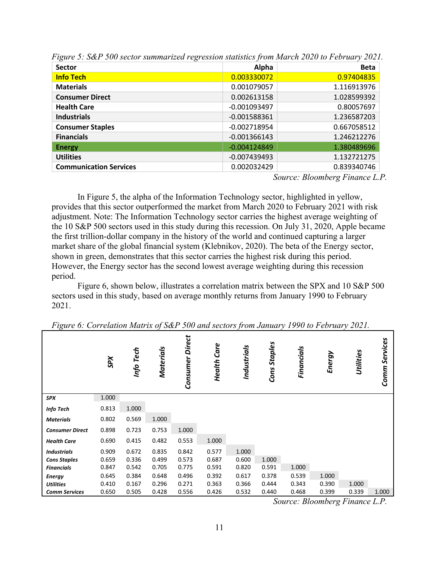| <b>Sector</b>                 | Alpha          | <b>Beta</b> |
|-------------------------------|----------------|-------------|
| <b>Info Tech</b>              | 0.003330072    | 0.97404835  |
| <b>Materials</b>              | 0.001079057    | 1.116913976 |
| <b>Consumer Direct</b>        | 0.002613158    | 1.028599392 |
| <b>Health Care</b>            | $-0.001093497$ | 0.80057697  |
| <b>Industrials</b>            | $-0.001588361$ | 1.236587203 |
| <b>Consumer Staples</b>       | $-0.002718954$ | 0.667058512 |
| <b>Financials</b>             | $-0.001366143$ | 1.246212276 |
| <b>Energy</b>                 | $-0.004124849$ | 1.380489696 |
| <b>Utilities</b>              | $-0.007439493$ | 1.132721275 |
| <b>Communication Services</b> | 0.002032429    | 0.839340746 |

*Figure 5: S&P 500 sector summarized regression statistics from March 2020 to February 2021.* 

*Source: Bloomberg Finance L.P.*

In Figure 5, the alpha of the Information Technology sector, highlighted in yellow, provides that this sector outperformed the market from March 2020 to February 2021 with risk adjustment. Note: The Information Technology sector carries the highest average weighting of the 10 S&P 500 sectors used in this study during this recession. On July 31, 2020, Apple became the first trillion-dollar company in the history of the world and continued capturing a larger market share of the global financial system (Klebnikov, 2020). The beta of the Energy sector, shown in green, demonstrates that this sector carries the highest risk during this period. However, the Energy sector has the second lowest average weighting during this recession period.

Figure 6, shown below, illustrates a correlation matrix between the SPX and 10 S&P 500 sectors used in this study, based on average monthly returns from January 1990 to February 2021.

| ပ                      | <b>SPX</b> | Info Tech | Materials | <b>Direct</b><br>Consumer | Care<br>Health | Industrials | <b>Staples</b><br>Cons | Financials | Energy | Utilities | Services<br>Comm. |
|------------------------|------------|-----------|-----------|---------------------------|----------------|-------------|------------------------|------------|--------|-----------|-------------------|
| <b>SPX</b>             | 1.000      |           |           |                           |                |             |                        |            |        |           |                   |
| <b>Info Tech</b>       | 0.813      | 1.000     |           |                           |                |             |                        |            |        |           |                   |
| <b>Materials</b>       | 0.802      | 0.569     | 1.000     |                           |                |             |                        |            |        |           |                   |
| <b>Consumer Direct</b> | 0.898      | 0.723     | 0.753     | 1.000                     |                |             |                        |            |        |           |                   |
| <b>Health Care</b>     | 0.690      | 0.415     | 0.482     | 0.553                     | 1.000          |             |                        |            |        |           |                   |
| <b>Industrials</b>     | 0.909      | 0.672     | 0.835     | 0.842                     | 0.577          | 1.000       |                        |            |        |           |                   |
| <b>Cons Staples</b>    | 0.659      | 0.336     | 0.499     | 0.573                     | 0.687          | 0.600       | 1.000                  |            |        |           |                   |
| <b>Financials</b>      | 0.847      | 0.542     | 0.705     | 0.775                     | 0.591          | 0.820       | 0.591                  | 1.000      |        |           |                   |
| <b>Energy</b>          | 0.645      | 0.384     | 0.648     | 0.496                     | 0.392          | 0.617       | 0.378                  | 0.539      | 1.000  |           |                   |
| <b>Utilities</b>       | 0.410      | 0.167     | 0.296     | 0.271                     | 0.363          | 0.366       | 0.444                  | 0.343      | 0.390  | 1.000     |                   |
| <b>Comm Services</b>   | 0.650      | 0.505     | 0.428     | 0.556                     | 0.426          | 0.532       | 0.440                  | 0.468      | 0.399  | 0.339     | 1.000             |

*Figure 6: Correlation Matrix of S&P 500 and sectors from January 1990 to February 2021.* 

*Source: Bloomberg Finance L.P.*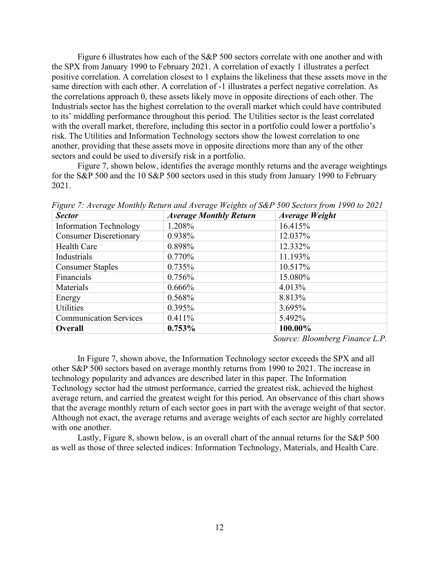Figure 6 illustrates how each of the S&P 500 sectors correlate with one another and with the SPX from January 1990 to February 2021. A correlation of exactly 1 illustrates a perfect positive correlation. A correlation closest to 1 explains the likeliness that these assets move in the same direction with each other. A correlation of -1 illustrates a perfect negative correlation. As the correlations approach 0, these assets likely move in opposite directions of each other. The Industrials sector has the highest correlation to the overall market which could have contributed to its' middling performance throughout this period. The Utilities sector is the least correlated with the overall market, therefore, including this sector in a portfolio could lower a portfolio's risk. The Utilities and Information Technology sectors show the lowest correlation to one another, providing that these assets move in opposite directions more than any of the other sectors and could be used to diversify risk in a portfolio.

Figure 7, shown below, identifies the average monthly returns and the average weightings for the S&P 500 and the 10 S&P 500 sectors used in this study from January 1990 to February 2021.

| <b>Sector</b>                 | <b>Average Monthly Return</b> | <b>Average Weight</b> |
|-------------------------------|-------------------------------|-----------------------|
| <b>Information Technology</b> | 1.208%                        | 16.415%               |
| <b>Consumer Discretionary</b> | 0.938%                        | 12.037%               |
| Health Care                   | 0.898%                        | 12.332%               |
| Industrials                   | 0.770%                        | 11.193%               |
| <b>Consumer Staples</b>       | 0.735%                        | 10.517%               |
| Financials                    | 0.756%                        | 15.080%               |
| Materials                     | 0.666%                        | 4.013%                |
| Energy                        | 0.568%                        | 8.813%                |
| <b>Utilities</b>              | 0.395%                        | 3.695%                |
| <b>Communication Services</b> | 0.411%                        | 5.492%                |
| Overall                       | 0.753%                        | 100.00%               |

*Figure 7: Average Monthly Return and Average Weights of S&P 500 Sectors from 1990 to 2021*

*Source: Bloomberg Finance L.P.*

In Figure 7, shown above, the Information Technology sector exceeds the SPX and all other S&P 500 sectors based on average monthly returns from 1990 to 2021. The increase in technology popularity and advances are described later in this paper. The Information Technology sector had the utmost performance, carried the greatest risk, achieved the highest average return, and carried the greatest weight for this period. An observance of this chart shows that the average monthly return of each sector goes in part with the average weight of that sector. Although not exact, the average returns and average weights of each sector are highly correlated with one another.

Lastly, Figure 8, shown below, is an overall chart of the annual returns for the S&P 500 as well as those of three selected indices: Information Technology, Materials, and Health Care.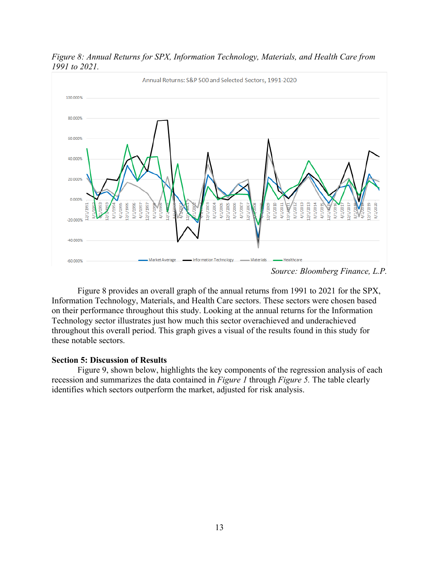

*Figure 8: Annual Returns for SPX, Information Technology, Materials, and Health Care from 1991 to 2021.* 

Figure 8 provides an overall graph of the annual returns from 1991 to 2021 for the SPX, Information Technology, Materials, and Health Care sectors. These sectors were chosen based on their performance throughout this study. Looking at the annual returns for the Information Technology sector illustrates just how much this sector overachieved and underachieved throughout this overall period. This graph gives a visual of the results found in this study for these notable sectors.

# **Section 5: Discussion of Results**

Figure 9, shown below, highlights the key components of the regression analysis of each recession and summarizes the data contained in *Figure 1* through *Figure 5.* The table clearly identifies which sectors outperform the market, adjusted for risk analysis.

*Source: Bloomberg Finance, L.P.*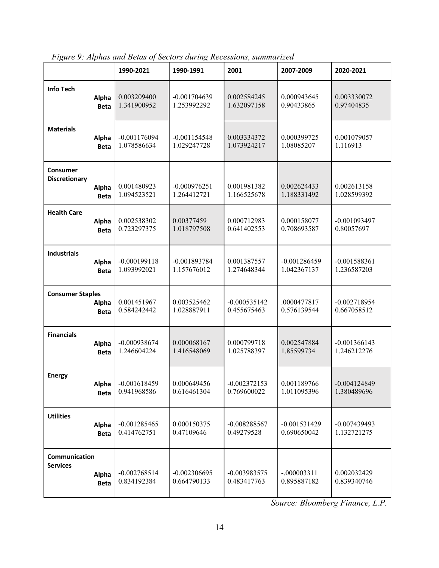|                         |             | 1990-2021      | 1990-1991      | 2001           | 2007-2009      | 2020-2021      |
|-------------------------|-------------|----------------|----------------|----------------|----------------|----------------|
| <b>Info Tech</b>        | Alpha       | 0.003209400    | $-0.001704639$ | 0.002584245    | 0.000943645    | 0.003330072    |
|                         | <b>Beta</b> | 1.341900952    | 1.253992292    | 1.632097158    | 0.90433865     | 0.97404835     |
| <b>Materials</b>        | Alpha       | $-0.001176094$ | $-0.001154548$ | 0.003334372    | 0.000399725    | 0.001079057    |
|                         | <b>Beta</b> | 1.078586634    | 1.029247728    | 1.073924217    | 1.08085207     | 1.116913       |
| Consumer                | Alpha       | 0.001480923    | $-0.000976251$ | 0.001981382    | 0.002624433    | 0.002613158    |
| <b>Discretionary</b>    | <b>Beta</b> | 1.094523521    | 1.264412721    | 1.166525678    | 1.188331492    | 1.028599392    |
| <b>Health Care</b>      | Alpha       | 0.002538302    | 0.00377459     | 0.000712983    | 0.000158077    | $-0.001093497$ |
|                         | <b>Beta</b> | 0.723297375    | 1.018797508    | 0.641402553    | 0.708693587    | 0.80057697     |
| <b>Industrials</b>      | Alpha       | $-0.000199118$ | $-0.001893784$ | 0.001387557    | $-0.001286459$ | $-0.001588361$ |
|                         | <b>Beta</b> | 1.093992021    | 1.157676012    | 1.274648344    | 1.042367137    | 1.236587203    |
| <b>Consumer Staples</b> | Alpha       | 0.001451967    | 0.003525462    | $-0.000535142$ | .0000477817    | $-0.002718954$ |
|                         | <b>Beta</b> | 0.584242442    | 1.028887911    | 0.455675463    | 0.576139544    | 0.667058512    |
| <b>Financials</b>       | Alpha       | $-0.000938674$ | 0.000068167    | 0.000799718    | 0.002547884    | $-0.001366143$ |
|                         | <b>Beta</b> | 1.246604224    | 1.416548069    | 1.025788397    | 1.85599734     | 1.246212276    |
| <b>Energy</b>           | Alpha       | $-0.001618459$ | 0.000649456    | $-0.002372153$ | 0.001189766    | $-0.004124849$ |
|                         | <b>Beta</b> | 0.941968586    | 0.616461304    | 0.769600022    | 1.011095396    | 1.380489696    |
| <b>Utilities</b>        | Alpha       | $-0.001285465$ | 0.000150375    | $-0.008288567$ | $-0.001531429$ | $-0.007439493$ |
|                         | <b>Beta</b> | 0.414762751    | 0.47109646     | 0.49279528     | 0.690650042    | 1.132721275    |
| Communication           | Alpha       | $-0.002768514$ | $-0.002306695$ | $-0.003983575$ | $-.000003311$  | 0.002032429    |
| <b>Services</b>         | <b>Beta</b> | 0.834192384    | 0.664790133    | 0.483417763    | 0.895887182    | 0.839340746    |

*Figure 9: Alphas and Betas of Sectors during Recessions, summarized*

*Source: Bloomberg Finance, L.P.*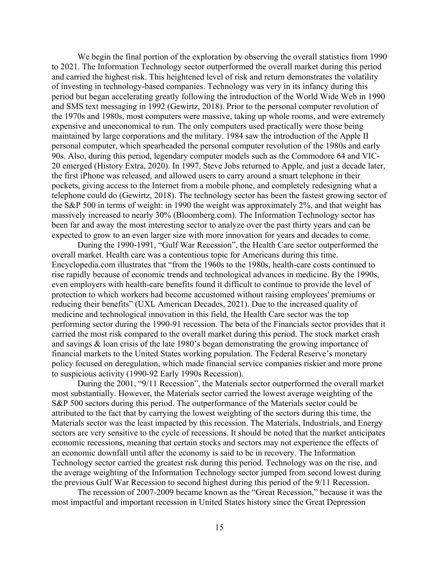We begin the final portion of the exploration by observing the overall statistics from 1990 to 2021. The Information Technology sector outperformed the overall market during this period and carried the highest risk. This heightened level of risk and return demonstrates the volatility of investing in technology-based companies. Technology was very in its infancy during this period but began accelerating greatly following the introduction of the World Wide Web in 1990 and SMS text messaging in 1992 (Gewirtz, 2018). Prior to the personal computer revolution of the 1970s and 1980s, most computers were massive, taking up whole rooms, and were extremely expensive and uneconomical to run. The only computers used practically were those being maintained by large corporations and the military. 1984 saw the introduction of the Apple II personal computer, which spearheaded the personal computer revolution of the 1980s and early 90s. Also, during this period, legendary computer models such as the Commodore 64 and VIC-20 emerged (History Extra, 2020). In 1997, Steve Jobs returned to Apple, and just a decade later, the first iPhone was released, and allowed users to carry around a smart telephone in their pockets, giving access to the Internet from a mobile phone, and completely redesigning what a telephone could do (Gewirtz, 2018). The technology sector has been the fastest growing sector of the S&P 500 in terms of weight: in 1990 the weight was approximately 2%, and that weight has massively increased to nearly 30% (Bloomberg.com). The Information Technology sector has been far and away the most interesting sector to analyze over the past thirty years and can be expected to grow to an even larger size with more innovation for years and decades to come.

During the 1990-1991, "Gulf War Recession", the Health Care sector outperformed the overall market. Health care was a contentious topic for Americans during this time. Encyclopedia.com illustrates that "from the 1960s to the 1980s, health-care costs continued to rise rapidly because of economic trends and technological advances in medicine. By the 1990s, even employers with health-care benefits found it difficult to continue to provide the level of protection to which workers had become accustomed without raising employees' premiums or reducing their benefits" (UXL American Decades, 2021). Due to the increased quality of medicine and technological innovation in this field, the Health Care sector was the top performing sector during the 1990-91 recession. The beta of the Financials sector provides that it carried the most risk compared to the overall market during this period. The stock market crash and savings & loan crisis of the late 1980's began demonstrating the growing importance of financial markets to the United States working population. The Federal Reserve's monetary policy focused on deregulation, which made financial service companies riskier and more prone to suspicious activity (1990-92 Early 1990s Recession).

During the 2001, "9/11 Recession", the Materials sector outperformed the overall market most substantially. However, the Materials sector carried the lowest average weighting of the S&P 500 sectors during this period. The outperformance of the Materials sector could be attributed to the fact that by carrying the lowest weighting of the sectors during this time, the Materials sector was the least impacted by this recession. The Materials, Industrials, and Energy sectors are very sensitive to the cycle of recessions. It should be noted that the market anticipates economic recessions, meaning that certain stocks and sectors may not experience the effects of an economic downfall until after the economy is said to be in recovery. The Information Technology sector carried the greatest risk during this period. Technology was on the rise, and the average weighting of the Information Technology sector jumped from second lowest during the previous Gulf War Recession to second highest during this period of the 9/11 Recession.

The recession of 2007-2009 became known as the "Great Recession," because it was the most impactful and important recession in United States history since the Great Depression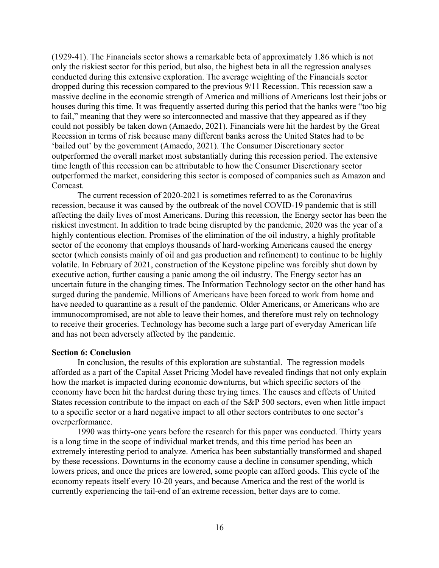(1929-41). The Financials sector shows a remarkable beta of approximately 1.86 which is not only the riskiest sector for this period, but also, the highest beta in all the regression analyses conducted during this extensive exploration. The average weighting of the Financials sector dropped during this recession compared to the previous 9/11 Recession. This recession saw a massive decline in the economic strength of America and millions of Americans lost their jobs or houses during this time. It was frequently asserted during this period that the banks were "too big to fail," meaning that they were so interconnected and massive that they appeared as if they could not possibly be taken down (Amaedo, 2021). Financials were hit the hardest by the Great Recession in terms of risk because many different banks across the United States had to be 'bailed out' by the government (Amaedo, 2021). The Consumer Discretionary sector outperformed the overall market most substantially during this recession period. The extensive time length of this recession can be attributable to how the Consumer Discretionary sector outperformed the market, considering this sector is composed of companies such as Amazon and Comcast.

The current recession of 2020-2021 is sometimes referred to as the Coronavirus recession, because it was caused by the outbreak of the novel COVID-19 pandemic that is still affecting the daily lives of most Americans. During this recession, the Energy sector has been the riskiest investment. In addition to trade being disrupted by the pandemic, 2020 was the year of a highly contentious election. Promises of the elimination of the oil industry, a highly profitable sector of the economy that employs thousands of hard-working Americans caused the energy sector (which consists mainly of oil and gas production and refinement) to continue to be highly volatile. In February of 2021, construction of the Keystone pipeline was forcibly shut down by executive action, further causing a panic among the oil industry. The Energy sector has an uncertain future in the changing times. The Information Technology sector on the other hand has surged during the pandemic. Millions of Americans have been forced to work from home and have needed to quarantine as a result of the pandemic. Older Americans, or Americans who are immunocompromised, are not able to leave their homes, and therefore must rely on technology to receive their groceries. Technology has become such a large part of everyday American life and has not been adversely affected by the pandemic.

# **Section 6: Conclusion**

In conclusion, the results of this exploration are substantial. The regression models afforded as a part of the Capital Asset Pricing Model have revealed findings that not only explain how the market is impacted during economic downturns, but which specific sectors of the economy have been hit the hardest during these trying times. The causes and effects of United States recession contribute to the impact on each of the S&P 500 sectors, even when little impact to a specific sector or a hard negative impact to all other sectors contributes to one sector's overperformance.

1990 was thirty-one years before the research for this paper was conducted. Thirty years is a long time in the scope of individual market trends, and this time period has been an extremely interesting period to analyze. America has been substantially transformed and shaped by these recessions. Downturns in the economy cause a decline in consumer spending, which lowers prices, and once the prices are lowered, some people can afford goods. This cycle of the economy repeats itself every 10-20 years, and because America and the rest of the world is currently experiencing the tail-end of an extreme recession, better days are to come.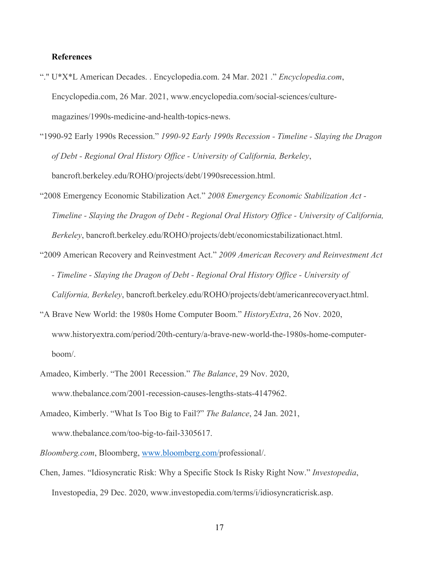# **References**

- "." U\*X\*L American Decades. . Encyclopedia.com. 24 Mar. 2021 ." *Encyclopedia.com*, Encyclopedia.com, 26 Mar. 2021, www.encyclopedia.com/social-sciences/culturemagazines/1990s-medicine-and-health-topics-news.
- "1990-92 Early 1990s Recession." *1990-92 Early 1990s Recession - Timeline - Slaying the Dragon of Debt - Regional Oral History Office - University of California, Berkeley*, bancroft.berkeley.edu/ROHO/projects/debt/1990srecession.html.
- "2008 Emergency Economic Stabilization Act." *2008 Emergency Economic Stabilization Act - Timeline - Slaying the Dragon of Debt - Regional Oral History Office - University of California, Berkeley*, bancroft.berkeley.edu/ROHO/projects/debt/economicstabilizationact.html.
- "2009 American Recovery and Reinvestment Act." *2009 American Recovery and Reinvestment Act - Timeline - Slaying the Dragon of Debt - Regional Oral History Office - University of California, Berkeley*, bancroft.berkeley.edu/ROHO/projects/debt/americanrecoveryact.html.
- "A Brave New World: the 1980s Home Computer Boom." *HistoryExtra*, 26 Nov. 2020, www.historyextra.com/period/20th-century/a-brave-new-world-the-1980s-home-computerboom/.
- Amadeo, Kimberly. "The 2001 Recession." *The Balance*, 29 Nov. 2020, www.thebalance.com/2001-recession-causes-lengths-stats-4147962.
- Amadeo, Kimberly. "What Is Too Big to Fail?" *The Balance*, 24 Jan. 2021, www.thebalance.com/too-big-to-fail-3305617.
- *Bloomberg.com*, Bloomberg, www.bloomberg.com/professional/.
- Chen, James. "Idiosyncratic Risk: Why a Specific Stock Is Risky Right Now." *Investopedia*, Investopedia, 29 Dec. 2020, www.investopedia.com/terms/i/idiosyncraticrisk.asp.